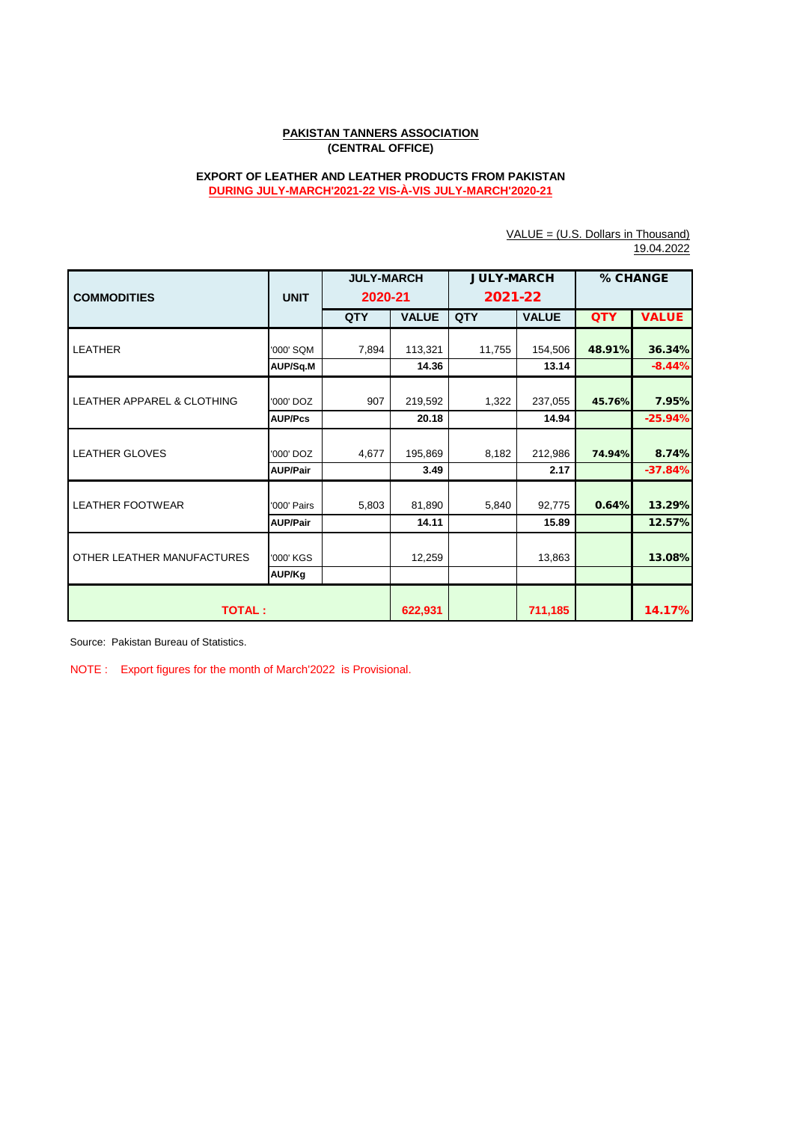# **PAKISTAN TANNERS ASSOCIATION (CENTRAL OFFICE)**

# **EXPORT OF LEATHER AND LEATHER PRODUCTS FROM PAKISTAN DURING JULY-MARCH'2021-22 VIS-À-VIS JULY-MARCH'2020-21**

VALUE = (U.S. Dollars in Thousand)

|                            |                 |                   |              |                   |              |            | 19.04.2022   |  |
|----------------------------|-----------------|-------------------|--------------|-------------------|--------------|------------|--------------|--|
|                            |                 | <b>JULY-MARCH</b> |              | <b>JULY-MARCH</b> |              | % CHANGE   |              |  |
| <b>COMMODITIES</b>         | <b>UNIT</b>     | 2020-21           |              | 2021-22           |              |            |              |  |
|                            |                 | QTY               | <b>VALUE</b> | QTY               | <b>VALUE</b> | <b>QTY</b> | <b>VALUE</b> |  |
|                            |                 |                   |              |                   |              |            |              |  |
| <b>LEATHER</b>             | '000' SQM       | 7,894             | 113,321      | 11,755            | 154,506      | 48.91%     | 36.34%       |  |
|                            | AUP/Sq.M        |                   | 14.36        |                   | 13.14        |            | $-8.44%$     |  |
|                            |                 |                   |              |                   |              |            |              |  |
| LEATHER APPAREL & CLOTHING | '000' DOZ       | 907               | 219,592      | 1,322             | 237,055      | 45.76%     | 7.95%        |  |
|                            | <b>AUP/Pcs</b>  |                   | 20.18        |                   | 14.94        |            | $-25.94%$    |  |
|                            |                 |                   |              |                   |              |            |              |  |
| <b>LEATHER GLOVES</b>      | '000' DOZ       | 4.677             | 195,869      | 8,182             | 212,986      | 74.94%     | 8.74%        |  |
|                            | <b>AUP/Pair</b> |                   | 3.49         |                   | 2.17         |            | $-37.84%$    |  |
|                            |                 |                   |              |                   |              |            |              |  |
| <b>LEATHER FOOTWEAR</b>    | '000' Pairs     | 5,803             | 81,890       | 5,840             | 92,775       | 0.64%      | 13.29%       |  |
|                            | <b>AUP/Pair</b> |                   | 14.11        |                   | 15.89        |            | 12.57%       |  |
|                            |                 |                   |              |                   |              |            |              |  |
| OTHER LEATHER MANUFACTURES | '000' KGS       |                   | 12,259       |                   | 13,863       |            | 13.08%       |  |
|                            | AUP/Kg          |                   |              |                   |              |            |              |  |
|                            |                 |                   |              |                   |              |            |              |  |
| <b>TOTAL:</b>              |                 | 622,931           |              | 711,185           |              | 14.17%     |              |  |

Source: Pakistan Bureau of Statistics.

NOTE : Export figures for the month of March'2022 is Provisional.